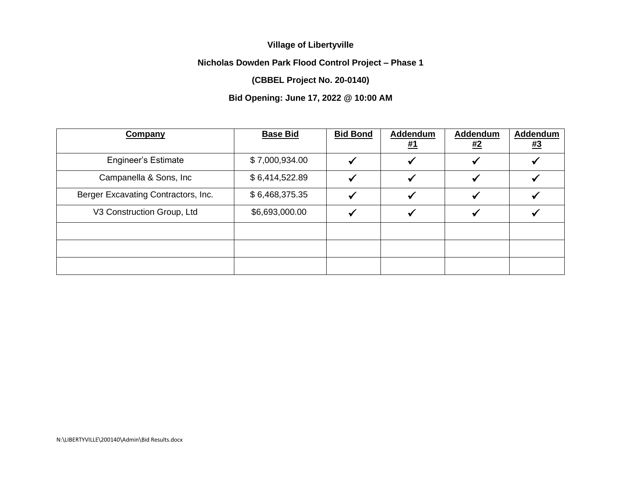## **Village of Libertyville**

## **Nicholas Dowden Park Flood Control Project – Phase 1**

## **(CBBEL Project No. 20-0140)**

## **Bid Opening: June 17, 2022 @ 10:00 AM**

| <b>Company</b>                      | <b>Base Bid</b> | <b>Bid Bond</b> | Addendum<br><u>#1</u> | <b>Addendum</b><br><u>#2</u> | Addendum<br><u>#3</u> |
|-------------------------------------|-----------------|-----------------|-----------------------|------------------------------|-----------------------|
| <b>Engineer's Estimate</b>          | \$7,000,934.00  |                 |                       |                              |                       |
| Campanella & Sons, Inc.             | \$6,414,522.89  |                 |                       |                              |                       |
| Berger Excavating Contractors, Inc. | \$6,468,375.35  |                 |                       |                              |                       |
| V3 Construction Group, Ltd          | \$6,693,000.00  |                 |                       |                              |                       |
|                                     |                 |                 |                       |                              |                       |
|                                     |                 |                 |                       |                              |                       |
|                                     |                 |                 |                       |                              |                       |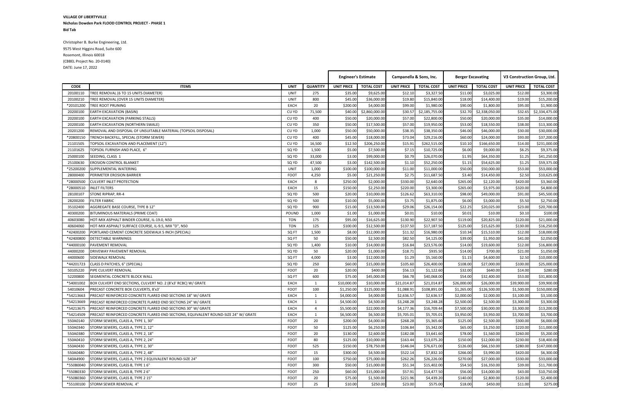**VILLAGE OF LIBERTYVILLE Nicholas Dowden Park FLOOD CONTROL PROJECT - PHASE 1 Bid Tab**

Christopher B. Burke Engineering, Ltd. 9575 West Higgins Road, Suite 600 Rosemont, Illinois 60018 (CBBEL Project No. 20-0140) DATE: June 17, 2022

|             |                                                                                     |             |                 | <b>Engineer's Estimate</b> |                   | Campanella & Sons, Inc. |                   | <b>Berger Excavating</b> |                   | V3 Construction Group, Ltd. |                   |
|-------------|-------------------------------------------------------------------------------------|-------------|-----------------|----------------------------|-------------------|-------------------------|-------------------|--------------------------|-------------------|-----------------------------|-------------------|
| <b>CODE</b> | <b>ITEMS</b>                                                                        | <b>UNIT</b> | <b>QUANTITY</b> | <b>UNIT PRICE</b>          | <b>TOTAL COST</b> | <b>UNIT PRICE</b>       | <b>TOTAL COST</b> | <b>UNIT PRICE</b>        | <b>TOTAL COST</b> | <b>UNIT PRICE</b>           | <b>TOTAL COST</b> |
| 20100110    | TREE REMOVAL (6 TO 15 UNITS DIAMETER)                                               | UNIT        | 275             | \$35.00                    | \$9,625.00        | \$12.10                 | \$3,327.50        | \$11.00                  | \$3,025.00        | \$12.00                     | \$3,300.00        |
| 20100210    | TREE REMOVAL (OVER 15 UNITS DIAMETER)                                               | UNIT        | 800             | \$45.00                    | \$36,000.00       | \$19.80                 | \$15,840.00       | \$18.00                  | \$14,400.00       | \$19.00                     | \$15,200.00       |
| *20101200   | TREE ROOT PRUNING                                                                   | EACH        | 20              | \$200.00                   | \$4,000.00        | \$99.00                 | \$1,980.00        | \$90.00                  | \$1,800.00        | \$95.00                     | \$1,900.00        |
| 20200100    | <b>EARTH EXCAVATION (BASIN)</b>                                                     | CU YD       | 71,500          | \$40.00                    | \$2,860,000.00    | \$30.57                 | \$2,185,755.00    | \$32.70                  | \$2,338,050.00    | \$32.65                     | \$2,334,475.00    |
| 20200100    | <b>EARTH EXCAVATION (PARKING STALLS)</b>                                            | CU YD       | 400             | \$50.00                    | \$20,000.00       | \$57.00                 | \$22,800.00       | \$50.00                  | \$20,000.00       | \$35.00                     | \$14,000.00       |
| 20200100    | EARTH EXCAVATION (NORTHERN SWALE)                                                   | CU YD       | 350             | \$50.00                    | \$17,500.00       | \$57.00                 | \$19,950.00       | \$53.00                  | \$18,550.00       | \$38.00                     | \$13,300.00       |
| 20201200    | REMOVAL AND DISPOSAL OF UNSUITABLE MATERIAL (TOPSOIL DISPOSAL)                      | CU YD       | 1,000           | \$50.00                    | \$50,000.00       | \$38.35                 | \$38,350.00       | \$46.00                  | \$46,000.00       | \$30.00                     | \$30,000.00       |
| *20800150   | TRENCH BACKFILL, SPECIAL (STORM SEWER)                                              | CU YD       | 400             | \$45.00                    | \$18,000.00       | \$73.04                 | \$29,216.00       | \$60.00                  | \$24,000.00       | \$93.00                     | \$37,200.00       |
| 21101505    | TOPSOIL EXCAVATION AND PLACEMENT (12")                                              | CU YD       | 16,500          | \$12.50                    | \$206,250.00      | \$15.91                 | \$262,515.00      | \$10.10                  | \$166,650.00      | \$14.00                     | \$231,000.00      |
| 21101625    | TOPSOIL FURNISH AND PLACE, 6"                                                       | SQ YD       | 1,500           | \$5.00                     | \$7,500.00        | \$7.15                  | \$10,725.00       | \$6.00                   | \$9,000.00        | \$6.25                      | \$9,375.00        |
| 25000100    | SEEDING, CLASS 1                                                                    | SQ YD       | 33,000          | \$3.00                     | \$99,000.00       | \$0.79                  | \$26,070.00       | \$1.95                   | \$64,350.00       | \$1.25                      | \$41,250.00       |
| 25100630    | <b>EROSION CONTROL BLANKET</b>                                                      | SQ YD       | 47,500          | \$3.00                     | \$142,500.00      | \$1.10                  | \$52,250.00       | \$1.15                   | \$54,625.00       | \$1.25                      | \$59,375.00       |
| *25200200   | SUPPLEMENTAL WATERING                                                               | UNIT        | 1,000           | \$100.00                   | \$100,000.00      | \$11.00                 | \$11,000.00       | \$50.00                  | \$50,000.00       | \$53.00                     | \$53,000.00       |
| 28000400    | PERIMETER EROSION BARRIER                                                           | <b>FOOT</b> | 4,250           | \$5.00                     | \$21,250.00       | \$2.75                  | \$11,687.50       | \$3.40                   | \$14,450.00       | \$2.50                      | \$10,625.00       |
| *28000500   | <b>CULVERT INLET PROTECTION</b>                                                     | EACH        | 8               | \$250.00                   | \$2,000.00        | \$330.00                | \$2,640.00        | \$265.00                 | \$2,120.00        | \$420.00                    | \$3,360.00        |
| *28000510   | <b>INLET FILTERS</b>                                                                | EACH        | 15              | \$150.00                   | \$2,250.00        | \$220.00                | \$3,300.00        | \$265.00                 | \$3,975.00        | \$320.00                    | \$4,800.00        |
| 28100107    | <b>STONE RIPRAP, RR-4</b>                                                           | SQ YD       | 500             | \$20.00                    | \$10,000.00       | \$126.62                | \$63,310.00       | \$98.00                  | \$49,000.00       | \$91.00                     | \$45,500.00       |
| 28200200    | <b>FILTER FABRIC</b>                                                                | SQ YD       | 500             | \$10.00                    | \$5,000.00        | \$3.75                  | \$1,875.00        | \$6.00                   | \$3,000.00        | \$5.50                      | \$2,750.00        |
| 35102400    | AGGREGATE BASE COURSE, TYPE B 12"                                                   | SQ YD       | 900             | \$15.00                    | \$13,500.00       | \$29.06                 | \$26,154.00       | \$22.25                  | \$20,025.00       | \$23.00                     | \$20,700.00       |
| 40300200    | BITUMINOUS MATERIALS (PRIME COAT)                                                   | POUND       | 1,000           | \$1.00                     | \$1,000.00        | \$0.01                  | \$10.00           | \$0.01                   | \$10.00           | \$0.10                      | \$100.00          |
| 40603080    | HOT-MIX ASPHALT BINDER COURSE, IL-19.0, N50                                         | <b>TON</b>  | 175             | \$95.00                    | \$16,625.00       | \$130.90                | \$22,907.50       | \$119.00                 | \$20,825.00       | \$120.00                    | \$21,000.00       |
| 40604060    | HOT-MIX ASPHALT SURFACE COURSE, IL-9.5, MIX "D", N50                                | <b>TON</b>  | 125             | \$100.00                   | \$12,500.00       | \$137.50                | \$17,187.50       | \$125.00                 | \$15,625.00       | \$130.00                    | \$16,250.00       |
| *42400200   | PORTLAND CEMENT CONCRETE SIDEWALK 5 INCH (SPECIAL)                                  | SQ FT       | 1,500           | \$8.00                     | \$12,000.00       | \$11.32                 | \$16,980.00       | \$10.34                  | \$15,510.00       | \$12.00                     | \$18,000.00       |
| *42400800   | DETECTABLE WARNINGS                                                                 | SQ FT       | 50              | \$50.00                    | \$2,500.00        | \$82.50                 | \$4,125.00        | \$39.00                  | \$1,950.00        | \$41.00                     | \$2,050.00        |
| *44000100   | <b>PAVEMENT REMOVAL</b>                                                             | SQ YD       | 1,400           | \$10.00                    | \$14,000.00       | \$16.84                 | \$23,576.00       | \$14.00                  | \$19,600.00       | \$12.00                     | \$16,800.00       |
| 44000200    | DRIVEWAY PAVEMENT REMOVAL                                                           | SQ YD       | 50              | \$20.00                    | \$1,000.00        | \$18.71                 | \$935.50          | \$14.00                  | \$700.00          | \$21.00                     | \$1,050.00        |
| 44000600    | SIDEWALK REMOVAL                                                                    | SQ FT       | 4,000           | \$3.00                     | \$12,000.00       | \$1.29                  | \$5,160.00        | \$1.15                   | \$4,600.00        | \$2.50                      | \$10,000.00       |
| *44201723   | CLASS D PATCHES, 6" (SPECIAL)                                                       | SQ YD       | 250             | \$60.00                    | \$15,000.00       | \$105.60                | \$26,400.00       | \$108.00                 | \$27,000.00       | \$100.00                    | \$25,000.00       |
| 50105220    | PIPE CULVERT REMOVAL                                                                | FOOT        | 20              | \$20.00                    | \$400.00          | \$56.13                 | \$1,122.60        | \$32.00                  | \$640.00          | \$14.00                     | \$280.00          |
| 52200800    | SEGMENTAL CONCRETE BLOCK WALL                                                       | SQ FT       | 600             | \$75.00                    | \$45,000.00       | \$66.78                 | \$40,068.00       | \$54.00                  | \$32,400.00       | \$53.00                     | \$31,800.00       |
| *54001002   | BOX CULVERT END SECTIONS, CULVERT NO. 2 (8'x3' RCBC) W/ GRATE                       | EACH        | 1               | \$10,000.00                | \$10,000.00       | \$21,014.87             | \$21,014.87       | \$26,000.00              | \$26,000.00       | \$39,900.00                 | \$39,900.00       |
| 54010604    | PRECAST CONCRETE BOX CULVERTS, 8'x3'                                                | <b>FOOT</b> | 100             | \$1,250.00                 | \$125,000.00      | \$1,088.91              | \$108,891.00      | \$1,265.00               | \$126,500.00      | \$1,500.00                  | \$150,000.00      |
| *54213663   | PRECAST REINFORCED CONCRETE FLARED END SECTIONS 18" W/ GRATE                        | EACH        | 1               | \$4,000.00                 | \$4,000.00        | \$2,636.57              | \$2,636.57        | \$2,000.00               | \$2,000.00        | \$3,100.00                  | \$3,100.00        |
| *54213669   | <b>PRECAST REINFORCED CONCRETE FLARED END SECTIONS 24" W/ GRATE</b>                 | EACH        | 1               | \$4,500.00                 | \$4,500.00        | \$3,248.28              | \$3,248.28        | \$2,500.00               | \$2,500.00        | \$3,300.00                  | \$3,300.00        |
| *54213675   | PRECAST REINFORCED CONCRETE FLARED END SECTIONS 30" W/ GRATE                        | EACH        | 4               | \$5,500.00                 | \$22,000.00       | \$4,177.36              | \$16,709.44       | \$7,500.00               | \$30,000.00       | \$3,300.00                  | \$13,200.00       |
| *54214509   | PRECAST REINFORCED CONCRETE FLARED END SECTIONS, EQUIVALENT ROUND-SIZE 24" W/ GRATE | EACH        | $\mathbf{1}$    | \$6,500.00                 | \$6,500.00        | \$5,705.01              | \$5,705.01        | \$3,950.00               | \$3,950.00        | \$3,700.00                  | \$3,700.00        |
| 550A0140    | STORM SEWERS, CLASS A, TYPE 1, 30"                                                  | <b>FOOT</b> | 20              | \$200.00                   | \$4,000.00        | \$268.28                | \$5,365.60        | \$125.00                 | \$2,500.00        | \$300.00                    | \$6,000.00        |
| 550A0340    | STORM SEWERS, CLASS A, TYPE 2, 12"                                                  | <b>FOOT</b> | 50              | \$125.00                   | \$6,250.00        | \$106.84                | \$5,342.00        | \$65.00                  | \$3,250.00        | \$220.00                    | \$11,000.00       |
| 550A0380    | STORM SEWERS, CLASS A, TYPE 2, 18"                                                  | <b>FOOT</b> | 20              | \$130.00                   | \$2,600.00        | \$182.08                | \$3,641.60        | \$78.00                  | \$1,560.00        | \$260.00                    | \$5,200.00        |
| 550A0410    | STORM SEWERS, CLASS A, TYPE 2, 24"                                                  | FOOT        | 80              | \$125.00                   | \$10,000.00       | \$163.44                | \$13,075.20       | \$150.00                 | \$12,000.00       | \$230.00                    | \$18,400.00       |
| 550A0430    | STORM SEWERS, CLASS A, TYPE 2, 30"                                                  | <b>FOOT</b> | 525             | \$150.00                   | \$78,750.00       | \$146.04                | \$76,671.00       | \$126.00                 | \$66,150.00       | \$280.00                    | \$147,000.00      |
| 550A0480    | STORM SEWERS, CLASS A, TYPE 2, 48"                                                  | <b>FOOT</b> | 15              | \$300.00                   | \$4,500.00        | \$522.14                | \$7,832.10        | \$266.00                 | \$3,990.00        | \$420.00                    | \$6,300.00        |
| 540A4900    | STORM SEWERS, CLASS A, TYPE 2 EQUIVALENT ROUND-SIZE 24"                             | <b>FOOT</b> | 100             | \$750.00                   | \$75,000.00       | \$262.26                | \$26,226.00       | \$270.00                 | \$27,000.00       | \$330.00                    | \$33,000.00       |
| *550B0040   | STORM SEWERS, CLASS B, TYPE 16"                                                     | <b>FOOT</b> | 300             | \$50.00                    | \$15,000.00       | \$51.34                 | \$15,402.00       | \$54.50                  | \$16,350.00       | \$39.00                     | \$11,700.00       |
| *550B0330   | STORM SEWERS, CLASS B, TYPE 2 6"                                                    | <b>FOOT</b> | 250             | \$60.00                    | \$15,000.00       | \$57.91                 | \$14,477.50       | \$56.00                  | \$14,000.00       | \$43.00                     | \$10,750.00       |
| *550B0360   | STORM SEWERS, CLASS B, TYPE 2 15"                                                   | <b>FOOT</b> | 20              | \$75.00                    | \$1,500.00        | \$221.96                | \$4,439.20        | \$140.00                 | \$2,800.00        | \$120.00                    | \$2,400.00        |
| *55100100   | STORM SEWER REMOVAL 4"                                                              | FOOT        | 25              | \$10.00                    | \$250.00          | \$23.00                 | \$575.00          | \$18.00                  | \$450.00          | \$11.00                     | \$275.00          |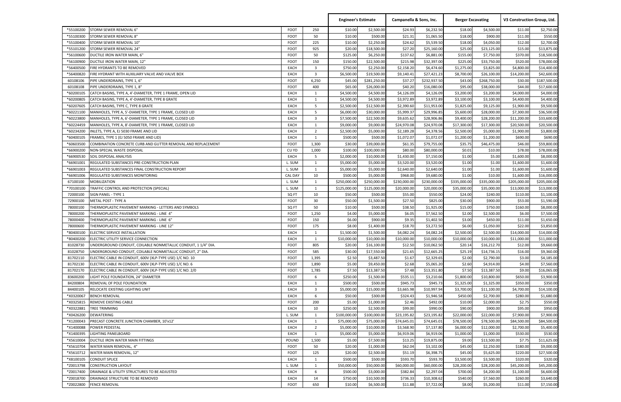|                      |                                                                                                                       |                            |                | <b>Engineer's Estimate</b> |                           | Campanella & Sons, Inc. |                           | <b>Berger Excavating</b> |                            | V3 Construction Group, Ltd. |                           |
|----------------------|-----------------------------------------------------------------------------------------------------------------------|----------------------------|----------------|----------------------------|---------------------------|-------------------------|---------------------------|--------------------------|----------------------------|-----------------------------|---------------------------|
| *55100200            | STORM SEWER REMOVAL 6"                                                                                                | <b>FOOT</b>                | 250            | \$10.00                    | \$2,500.00                | \$24.93                 | \$6,232.50                | \$18.00                  | \$4,500.00                 | \$11.00                     | \$2,750.00                |
| *55100300            | STORM SEWER REMOVAL 8"                                                                                                | <b>FOOT</b>                | 50             | \$10.00                    | \$500.00                  | \$21.31                 | \$1,065.50                | \$18.00                  | \$900.00                   | \$11.00                     | \$550.00                  |
| *55100400            | STORM SEWER REMOVAL 10"                                                                                               | <b>FOOT</b>                | 225            | \$10.00                    | \$2,250.00                | \$24.62                 | \$5,539.50                | \$18.00                  | \$4,050.00                 | \$12.00                     | \$2,700.00                |
| *55101200            | STORM SEWER REMOVAL 24"                                                                                               | <b>FOOT</b>                | 925            | \$20.00                    | \$18,500.00               | \$27.20                 | \$25,160.00               | \$25.00                  | \$23,125.00                | \$15.00                     | \$13,875.00               |
| *56100600            | DUCTILE IRON WATER MAIN, 6"                                                                                           | <b>FOOT</b>                | 50             | \$125.00                   | \$6,250.00                | \$137.62                | \$6,881.00                | \$155.00                 | \$7,750.00                 | \$370.00                    | \$18,500.00               |
| *56100900            | DUCTILE IRON WATER MAIN, 12"                                                                                          | <b>FOOT</b>                | 150            | \$150.00                   | \$22,500.00               | \$215.98                | \$32,397.00               | \$225.00                 | \$33,750.00                | \$520.00                    | \$78,000.00               |
| *56400500            | FIRE HYDRANTS TO BE REMOVED                                                                                           | <b>EACH</b>                | 3              | \$750.00                   | \$2,250.00                | \$2,158.20              | \$6,474.60                | \$1,275.00               | \$3,825.00                 | \$4,800.00                  | \$14,400.00               |
| *56400820            | FIRE HYDRANT WITH AUXILIARY VALVE AND VALVE BOX                                                                       | <b>EACH</b>                | 3              | \$6,500.00                 | \$19,500.00               | \$9,140.41              | \$27,421.23               | \$8,700.00               | \$26,100.00                | \$14,200.00                 | \$42,600.00               |
| 60108106             | PIPE UNDERDRAINS, TYPE 1, 6"                                                                                          | <b>FOOT</b>                | 6,250          | \$45.00                    | \$281,250.00              | \$37.27                 | \$232,937.50              | \$43.00                  | \$268,750.00               | \$30.00                     | \$187,500.00              |
| 60108108             | PIPE UNDERDRAINS, TYPE 1, 8"                                                                                          | <b>FOOT</b>                | 400            | \$65.00                    | \$26,000.00               | \$40.20                 | \$16,080.00               | \$95.00                  | \$38,000.00                | \$44.00                     | \$17,600.00               |
| *60200105            | CATCH BASINS, TYPE A, 4'-DIAMETER, TYPE 1 FRAME, OPEN LID                                                             | <b>EACH</b>                | 1              | \$4,500.00                 | \$4,500.00                | \$4,126.09              | \$4,126.09                | \$3,200.00               | \$3,200.00                 | \$4,000.00                  | \$4,000.00                |
| *60200805            | CATCH BASINS, TYPE A, 4'-DIAMETER, TYPE 8 GRATE                                                                       | EACH                       | 1              | \$4,500.00                 | \$4,500.00                | \$3,972.89              | \$3,972.89                | \$3,100.00               | \$3,100.00                 | \$4,400.00                  | \$4,400.00                |
| *60207605            | CATCH BASINS, TYPE C, TYPE 8 GRATE                                                                                    | EACH                       | 5              | \$2,500.00                 | \$12,500.00               | \$2,390.60              | \$11,953.00               | \$1,825.00               | \$9,125.00                 | \$1,900.00                  | \$9,500.00                |
| *60221100            | MANHOLES, TYPE A, 5'-DIAMETER, TYPE 1 FRAME, CLOSED LID                                                               | <b>EACH</b>                | 5              | \$6,000.00                 | \$30,000.00               | \$5,999.37              | \$29,996.85               | \$5,600.00               | \$28,000.00                | \$7,300.00                  | \$36,500.00               |
| *60223800            | MANHOLES, TYPE A, 6'-DIAMETER, TYPE 1 FRAME, CLOSED LID                                                               | <b>EACH</b>                | 3              | \$7,500.00                 | \$22,500.00               | \$9,635.62              | \$28,906.86               | \$9,400.00               | \$28,200.00                | \$11,200.00                 | \$33,600.00               |
| *60224459            | MANHOLES, TYPE A, 8'-DIAMETER, TYPE 1 FRAME, CLOSED LID                                                               | <b>EACH</b>                | 1              | \$9,000.00                 | \$9,000.00                | \$24,970.08             | \$24,970.08               | \$17,300.00              | \$17,300.00                | \$20,500.00                 | \$20,500.00               |
| *60234200            | NLETS, TYPE A, EJ 5030 FRAME AND LID                                                                                  | <b>EACH</b>                | $\overline{2}$ | \$2,500.00                 | \$5,000.00                | \$2,189.28              | \$4,378.56                | \$2,500.00               | \$5,000.00                 | \$1,900.00                  | \$3,800.00                |
| *60400105            | FRAMES, TYPE 1 (EJ 5050 FRAME AND LID)                                                                                | <b>EACH</b>                | 1              | \$500.00                   | \$500.00                  | \$1,072.07              | \$1,072.07                | \$1,200.00               | \$1,200.00                 | \$690.00                    | \$690.00                  |
| *60603500            | COMBINATION CONCRETE CURB AND GUTTER REMOVAL AND REPLACEMENT                                                          | <b>FOOT</b>                | 1,300          | \$30.00                    | \$39,000.00               | \$61.35                 | \$79,755.00               | \$35.75                  | \$46,475.00                | \$46.00                     | \$59,800.00               |
| *66900200            | NON-SPECIAL WASTE DISPOSAL                                                                                            | CU YD                      | 1,000          | \$100.00                   | \$100,000.00              | \$80.00                 | \$80,000.00               | \$0.01                   | \$10.00                    | \$78.00                     | \$78,000.00               |
| *66900530            | SOIL DISPOSAL ANALYSIS                                                                                                | <b>EACH</b>                | 5              | \$2,000.00                 | \$10,000.00               | \$1,430.00              | \$7,150.00                | \$1.00                   | \$5.00                     | \$1,600.00                  | \$8,000.00                |
| *66901001            | REGULATED SUBSTANCES PRE-CONSTRUCTION PLAN                                                                            | L. SUM                     | 1              | \$5,000.00                 | \$5,000.00                | \$3,520.00              | \$3,520.00                | \$1.00                   | \$1.00                     | \$1,600.00                  | \$1,600.00                |
| *66901003            | REGULATED SUBSTANCES FINAL CONSTRUCTION REPORT                                                                        | L. SUM                     | 1              | \$5,000.00                 | \$5,000.00                | \$2,640.00              | \$2,640.00                | \$1.00                   | \$1.00                     | \$1,600.00                  | \$1,600.00                |
| *66901006            | REGULATED SUBSTANCES MONITORING                                                                                       | <b>CAL DAY</b>             | 10             | \$500.00                   | \$5,000.00                | \$968.00                | \$9,680.00                | \$1.00                   | \$10.00                    | \$1,600.00                  | \$16,000.00               |
| 67100100             | MOBILIZATION                                                                                                          | L. SUM                     | $\mathbf{1}$   | \$250,000.00               | \$250,000.00              | \$230,000.00            | \$230,000.00              | \$335,000.00             | \$335,000.00               | \$205,000.00                | \$205,000.00              |
| *70100100            | TRAFFIC CONTROL AND PROTECTION (SPECIAL)                                                                              | L. SUM                     | 1              | \$125,000.00               | \$125,000.00              | \$20,000.00             | \$20,000.00               | \$35,000.00              | \$35,000.00                | \$13,000.00                 | \$13,000.00               |
| 72000100             | SIGN PANEL - TYPE 1                                                                                                   | SQ FT                      | 10             | \$50.00                    | \$500.00                  | \$55.00                 | \$550.00                  | \$24.00                  | \$240.00                   | \$110.00                    | \$1,100.00                |
| 72900100             | <b>METAL POST - TYPE A</b>                                                                                            | <b>FOOT</b>                | 30             | \$50.00                    | \$1,500.00                | \$27.50                 | \$825.00                  | \$30.00                  | \$900.00                   | \$53.00                     | \$1,590.00                |
| 78000100             | THERMOPLASTIC PAVEMENT MARKING - LETTERS AND SYMBOLS                                                                  | SQ FT                      | 50             | \$10.00                    | \$500.00                  | \$38.50                 | \$1,925.00                | \$15.00                  | \$750.00                   | \$160.00                    | \$8,000.00                |
| 78000200             | THERMOPLASTIC PAVEMENT MARKING - LINE 4"                                                                              | <b>FOOT</b>                | 1,250          | \$4.00                     | \$5,000.00                | \$6.05                  | \$7,562.50                | \$2.00                   | \$2,500.00                 | \$6.00                      | \$7,500.00                |
| 78000400             | THERMOPLASTIC PAVEMENT MARKING - LINE 6'                                                                              | <b>FOOT</b>                | 150            | \$6.00                     | \$900.00                  | \$9.35                  | \$1,402.50                | \$3.00                   | \$450.00                   | \$11.00                     | \$1,650.00                |
| 78000600             | THERMOPLASTIC PAVEMENT MARKING - LINE 12"                                                                             | <b>FOOT</b>                | 175            | \$8.00                     | \$1,400.00                | \$18.70                 | \$3,272.50                | \$6.00                   | \$1,050.00                 | \$22.00                     | \$3,850.00                |
| *80400100            | ELECTRIC SERVICE INSTALLATION                                                                                         | EACH                       | $\mathbf{1}$   | \$1,500.00                 | \$1,500.00                | \$4,082.24              | \$4,082.24                | \$2,500.00               | \$2,500.00                 | \$14,000.00                 | \$14,000.00               |
| *80400200            | ELECTRIC UTILITY SERVICE CONNECTION                                                                                   | EACH                       | 1              | \$10,000.00                | \$10,000.00               | \$10,000.00             | \$10,000.00               | \$10,000.00              | \$10,000.00                | \$11,000.00                 | \$11,000.00               |
| 81028730             | UNDERGROUND CONDUIT, COILABLE NONMETALLIC CONDUIT, 1 1/4" DIA.                                                        | <b>FOOT</b>                | 805            | \$20.00                    | \$16,100.00               | \$12.50                 | \$10,062.50               | \$20.14                  | \$16,212.70                | \$12.00                     | \$9,660.00                |
| 81028750<br>81702110 | UNDERGROUND CONDUIT, COILABLE NONMETALLIC CONDUIT, 2" DIA.                                                            | <b>FOOT</b><br><b>FOOT</b> | 585<br>1,395   | \$30.00<br>\$2.50          | \$17,550.00<br>\$3,487.50 | \$21.65<br>\$1.67       | \$12,665.25<br>\$2,329.65 | \$25.19<br>\$2.00        | \$14,736.15<br>\$2,790.00  | \$16.00                     | \$9,360.00                |
| 81702130             | ELECTRIC CABLE IN CONDUIT, 600V (XLP-TYPE USE) 1/C NO. 10<br>ELECTRIC CABLE IN CONDUIT, 600V (XLP-TYPE USE) 1/C NO. 6 | <b>FOOT</b>                | 1,890          | \$5.00                     | \$9,450.00                | \$2.68                  | \$5,065.20                | \$2.60                   | \$4,914.00                 | \$3.00<br>\$4.00            | \$4,185.00<br>\$7,560.00  |
| 81702170             |                                                                                                                       |                            |                | \$7.50                     |                           | \$7.48                  |                           | \$7.50                   |                            | \$9.00                      |                           |
| 83600200             | ELECTRIC CABLE IN CONDUIT, 600V (XLP-TYPE USE) 1/C NO. 2/0<br>IGHT POLE FOUNDATION, 24" DIAMETER.                     | <b>FOOT</b><br><b>FOOT</b> | 1,785<br>6     | \$250.00                   | \$13,387.50<br>\$1,500.00 | \$535.11                | \$13,351.80<br>\$3,210.66 | \$1,800.00               | \$13,387.50<br>\$10,800.00 | \$650.00                    | \$16,065.00<br>\$3,900.00 |
| 84200804             | REMOVAL OF POLE FOUNDATION                                                                                            | EACH                       | $\mathbf{1}$   | \$500.00                   | \$500.00                  | \$945.73                | \$945.73                  | \$1,325.00               | \$1,325.00                 | \$350.00                    | \$350.00                  |
| 84400105             | RELOCATE EXISTING LIGHTING UNIT                                                                                       | <b>EACH</b>                | 3              | \$5,000.00                 | \$15,000.00               | \$3,665.98              | \$10,997.94               | \$3,700.00               | \$11,100.00                | \$4,700.00                  | \$14,100.00               |
| *X0320067            | <b>BENCH REMOVAL</b>                                                                                                  | <b>EACH</b>                | 6              | \$50.00                    | \$300.00                  | \$324.43                | \$1,946.58                | \$450.00                 | \$2,700.00                 | \$280.00                    | \$1,680.00                |
| *X0325815            | REMOVE EXISTING CABLE                                                                                                 | <b>FOOT</b>                | 200            | \$5.00                     | \$1,000.00                | \$2.46                  | \$492.00                  | \$10.00                  | \$2,000.00                 | \$2.75                      | \$550.00                  |
| *X0322881            | TREE TRIMMING                                                                                                         | <b>EACH</b>                | 10             | \$250.00                   | \$2,500.00                | \$99.00                 | \$990.00                  | \$90.00                  | \$900.00                   | \$95.00                     | \$950.00                  |
| *X0426200            | DEWATERING                                                                                                            | L. SUM                     | 1              | \$100,000.00               | \$100,000.00              | \$23,195.82             | \$23,195.82               | \$22,000.00              | \$22,000.00                | \$7,900.00                  | \$7,900.00                |
| *X1200043            | PRECAST CONCRETE JUNCTION CHAMBER, 10'x12'                                                                            | <b>EACH</b>                | $\mathbf{1}$   | \$75,000.00                | \$75,000.00               | \$74,645.01             | \$74,645.01               | \$78,500.00              | \$78,500.00                | \$84,500.00                 | \$84,500.00               |
| *X1400088            | POWER PEDESTAL                                                                                                        | <b>EACH</b>                | $\overline{2}$ | \$5,000.00                 | \$10,000.00               | \$3,568.90              | \$7,137.80                | \$6,000.00               | \$12,000.00                | \$2,700.00                  | \$5,400.00                |
| *X1400395            | LIGHTING PANELBOARD                                                                                                   | <b>EACH</b>                | $\mathbf{1}$   | \$5,000.00                 | \$5,000.00                | \$6,919.06              | \$6,919.06                | \$1,000.00               | \$1,000.00                 | \$530.00                    | \$530.00                  |
| *X5610004            | DUCTILE IRON WATER MAIN FITTINGS                                                                                      | <b>POUND</b>               | 1,500          | \$5.00                     | \$7,500.00                | \$13.25                 | \$19,875.00               | \$9.00                   | \$13,500.00                | \$7.75                      | \$11,625.00               |
| *X5610704            | WATER MAIN REMOVAL, 4"                                                                                                | <b>FOOT</b>                | 50             | \$20.00                    | \$1,000.00                | \$62.04                 | \$3,102.00                | \$45.00                  | \$2,250.00                 | \$180.00                    | \$9,000.00                |
| *X5610712            | WATER MAIN REMOVAL, 12"                                                                                               | <b>FOOT</b>                | 125            | \$20.00                    | \$2,500.00                | \$51.19                 | \$6,398.75                | \$45.00                  | \$5,625.00                 | \$220.00                    | \$27,500.00               |
| *X8100105            | <b>CONDUIT SPLICE</b>                                                                                                 | EACH                       | 1              | \$500.00                   | \$500.00                  | \$593.70                | \$593.70                  | \$3,500.00               | \$3,500.00                 | \$320.00                    | \$320.00                  |
| *Z0013798            | <b>CONSTRUCTION LAYOUT</b>                                                                                            | L. SUM                     | $\mathbf{1}$   | \$50,000.00                | \$50,000.00               | \$60,000.00             | \$60,000.00               | \$28,200.00              | \$28,200.00                | \$45,200.00                 | \$45,200.00               |
| *Z0017400            | DRAINAGE & UTILITY STRUCTURES TO BE ADJUSTED                                                                          | <b>EACH</b>                | 6              | \$500.00                   | \$3,000.00                | \$382.84                | \$2,297.04                | \$700.00                 | \$4,200.00                 | \$1,100.00                  | \$6,600.00                |
| *Z0018700            | DRAINAGE STRUCTURE TO BE REMOVED                                                                                      | <b>EACH</b>                | 14             | \$750.00                   | \$10,500.00               | \$736.33                | \$10,308.62               | \$540.00                 | \$7,560.00                 | \$260.00                    | \$3,640.00                |
| *Z0022800            | <b>FENCE REMOVAL</b>                                                                                                  | <b>FOOT</b>                | 650            | \$10.00                    | \$6,500.00                | \$11.88                 | \$7,722.00                | \$8.00                   | \$5,200.00                 | \$11.00                     | \$7,150.00                |